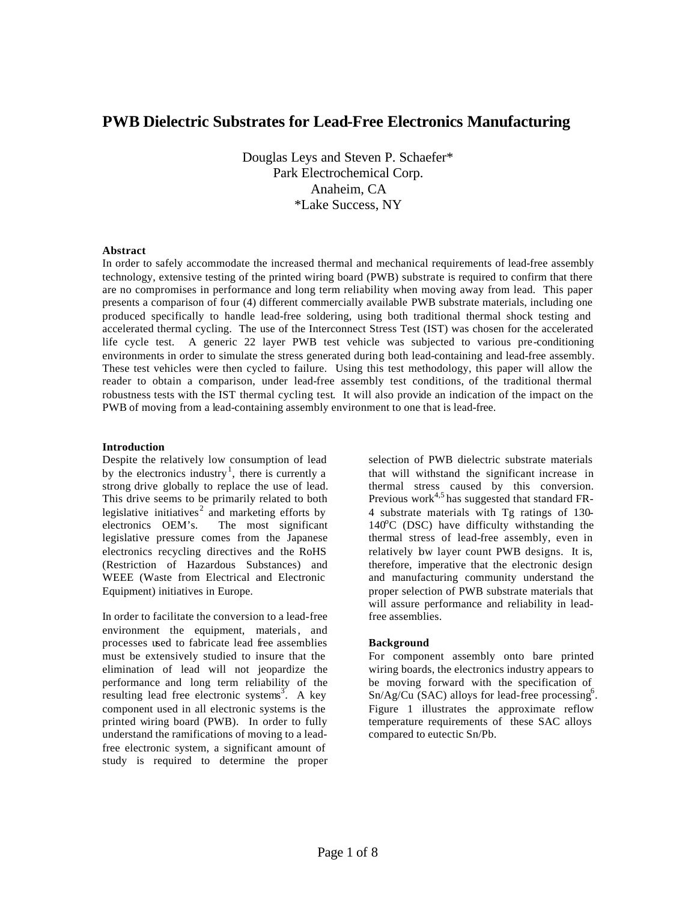# **PWB Dielectric Substrates for Lead-Free Electronics Manufacturing**

Douglas Leys and Steven P. Schaefer\* Park Electrochemical Corp. Anaheim, CA \*Lake Success, NY

## **Abstract**

In order to safely accommodate the increased thermal and mechanical requirements of lead-free assembly technology, extensive testing of the printed wiring board (PWB) substrate is required to confirm that there are no compromises in performance and long term reliability when moving away from lead. This paper presents a comparison of four (4) different commercially available PWB substrate materials, including one produced specifically to handle lead-free soldering, using both traditional thermal shock testing and accelerated thermal cycling. The use of the Interconnect Stress Test (IST) was chosen for the accelerated life cycle test. A generic 22 layer PWB test vehicle was subjected to various pre-conditioning environments in order to simulate the stress generated during both lead-containing and lead-free assembly. These test vehicles were then cycled to failure. Using this test methodology, this paper will allow the reader to obtain a comparison, under lead-free assembly test conditions, of the traditional thermal robustness tests with the IST thermal cycling test. It will also provide an indication of the impact on the PWB of moving from a lead-containing assembly environment to one that is lead-free.

## **Introduction**

Despite the relatively low consumption of lead by the electronics industry<sup>1</sup>, there is currently a strong drive globally to replace the use of lead. This drive seems to be primarily related to both legislative initiatives<sup>2</sup> and marketing efforts by electronics OEM's. The most significant legislative pressure comes from the Japanese electronics recycling directives and the RoHS (Restriction of Hazardous Substances) and WEEE (Waste from Electrical and Electronic Equipment) initiatives in Europe.

In order to facilitate the conversion to a lead-free environment the equipment, materials, and processes used to fabricate lead free assemblies must be extensively studied to insure that the elimination of lead will not jeopardize the performance and long term reliability of the resulting lead free electronic systems<sup>3</sup>. A key component used in all electronic systems is the printed wiring board (PWB). In order to fully understand the ramifications of moving to a leadfree electronic system, a significant amount of study is required to determine the proper

selection of PWB dielectric substrate materials that will withstand the significant increase in thermal stress caused by this conversion. Previous work<sup>4,5</sup> has suggested that standard FR-4 substrate materials with Tg ratings of 130 140°C (DSC) have difficulty withstanding the thermal stress of lead-free assembly, even in relatively bw layer count PWB designs. It is, therefore, imperative that the electronic design and manufacturing community understand the proper selection of PWB substrate materials that will assure performance and reliability in leadfree assemblies.

## **Background**

For component assembly onto bare printed wiring boards, the electronics industry appears to be moving forward with the specification of  $Sn/Ag/Cu$  (SAC) alloys for lead-free processing<sup>6</sup>. Figure 1 illustrates the approximate reflow temperature requirements of these SAC alloys compared to eutectic Sn/Pb.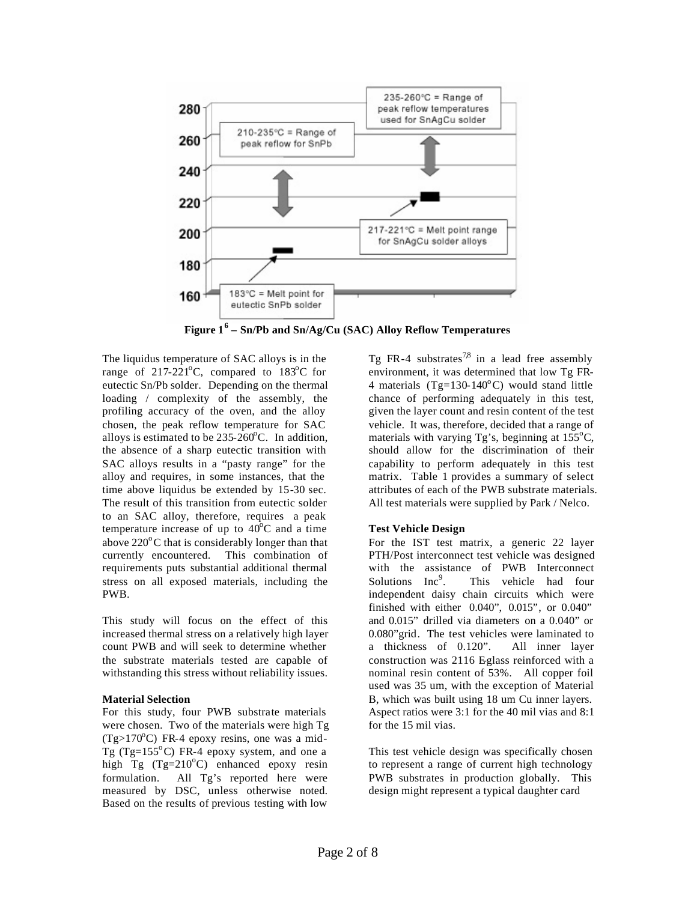

**Figure 16 – Sn/Pb and Sn/Ag/Cu (SAC) Alloy Reflow Temperatures** 

The liquidus temperature of SAC alloys is in the range of 217-221 $^{\circ}$ C, compared to 183 $^{\circ}$ C for eutectic Sn/Pb solder. Depending on the thermal loading / complexity of the assembly, the profiling accuracy of the oven, and the alloy chosen, the peak reflow temperature for SAC alloys is estimated to be  $235-260^{\circ}$ C. In addition, the absence of a sharp eutectic transition with SAC alloys results in a "pasty range" for the alloy and requires, in some instances, that the time above liquidus be extended by 15-30 sec. The result of this transition from eutectic solder to an SAC alloy, therefore, requires a peak temperature increase of up to  $40^{\circ}$ C and a time above  $220^{\circ}$ C that is considerably longer than that currently encountered. This combination of requirements puts substantial additional thermal stress on all exposed materials, including the PWB.

This study will focus on the effect of this increased thermal stress on a relatively high layer count PWB and will seek to determine whether the substrate materials tested are capable of withstanding this stress without reliability issues.

## **Material Selection**

For this study, four PWB substrate materials were chosen. Two of the materials were high Tg  $(Tg>170^{\circ}C)$  FR-4 epoxy resins, one was a mid-Tg (Tg=155 $^{\circ}$ C) FR-4 epoxy system, and one a high Tg  $(Tg=210^{\circ}C)$  enhanced epoxy resin formulation. All Tg's reported here were measured by DSC, unless otherwise noted. Based on the results of previous testing with low

Tg FR-4 substrates<sup>7,8</sup> in a lead free assembly environment, it was determined that low Tg FR-4 materials (Tg=130-140 $^{\circ}$ C) would stand little chance of performing adequately in this test, given the layer count and resin content of the test vehicle. It was, therefore, decided that a range of materials with varying Tg's, beginning at  $155^{\circ}$ C, should allow for the discrimination of their capability to perform adequately in this test matrix. Table 1 provides a summary of select attributes of each of the PWB substrate materials. All test materials were supplied by Park / Nelco.

# **Test Vehicle Design**

For the IST test matrix, a generic 22 layer PTH/Post interconnect test vehicle was designed with the assistance of PWB Interconnect Solutions  $Inc<sup>9</sup>$ . . This vehicle had four independent daisy chain circuits which were finished with either 0.040", 0.015", or 0.040" and 0.015" drilled via diameters on a 0.040" or 0.080"grid. The test vehicles were laminated to a thickness of 0.120". All inner layer construction was 2116 Eglass reinforced with a nominal resin content of 53%. All copper foil used was 35 um, with the exception of Material B, which was built using 18 um Cu inner layers. Aspect ratios were 3:1 for the 40 mil vias and 8:1 for the 15 mil vias.

This test vehicle design was specifically chosen to represent a range of current high technology PWB substrates in production globally. This design might represent a typical daughter card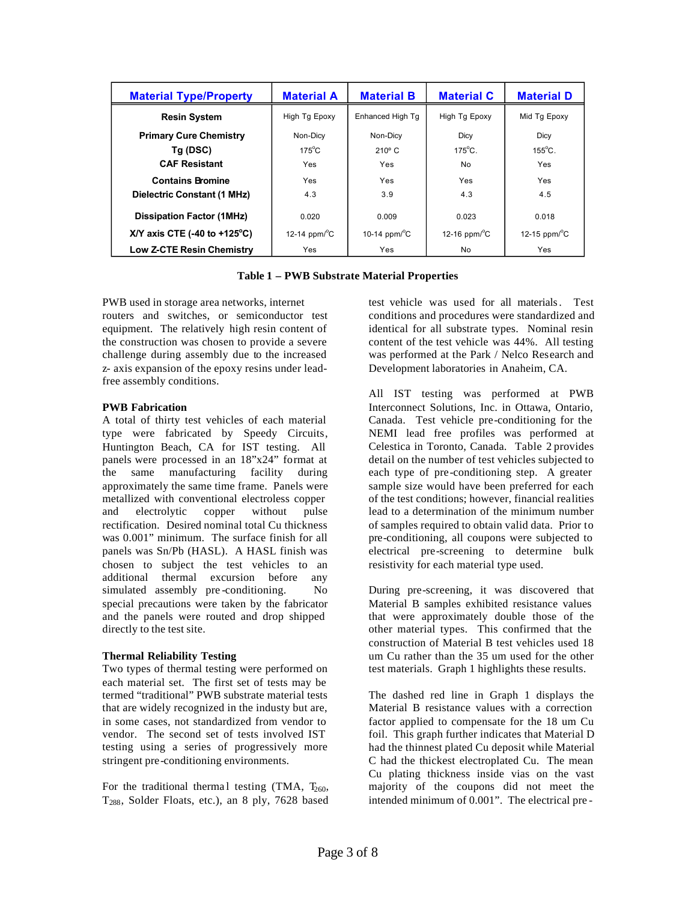| <b>Material Type/Property</b>                  | <b>Material A</b>               | <b>Material B</b>               | <b>Material C</b>          | <b>Material D</b>               |
|------------------------------------------------|---------------------------------|---------------------------------|----------------------------|---------------------------------|
| <b>Resin System</b>                            | High Tg Epoxy                   | Enhanced High Tg                | High Tg Epoxy              | Mid Tg Epoxy                    |
| <b>Primary Cure Chemistry</b>                  | Non-Dicv                        | Non-Dicv                        | Dicy                       | Dicy                            |
| Tg (DSC)                                       | $175^{\circ}$ C                 | $210^{\circ}$ C                 | $175^{\circ}$ C.           | $155^{\circ}$ C.                |
| <b>CAF Resistant</b>                           | Yes.                            | Yes                             | No.                        | Yes                             |
| <b>Contains Bromine</b>                        | Yes                             | Yes                             | Yes                        | Yes                             |
| Dielectric Constant (1 MHz)                    | 4.3                             | 3.9                             | 4.3                        | 4.5                             |
| <b>Dissipation Factor (1MHz)</b>               | 0.020                           | 0.009                           | 0.023                      | 0.018                           |
| X/Y axis CTE $(-40 \text{ to } +125^{\circ}C)$ | 12-14 ppm/ $\mathrm{^{\circ}C}$ | 10-14 ppm/ $\mathrm{^{\circ}C}$ | 12-16 $ppm$ <sup>o</sup> C | 12-15 ppm/ $\mathrm{^{\circ}C}$ |
| <b>Low Z-CTE Resin Chemistry</b>               | Yes                             | Yes                             | No                         | <b>Yes</b>                      |

**Table 1 – PWB Substrate Material Properties** 

PWB used in storage area networks, internet routers and switches, or semiconductor test equipment. The relatively high resin content of the construction was chosen to provide a severe challenge during assembly due to the increased z- axis expansion of the epoxy resins under leadfree assembly conditions.

## **PWB Fabrication**

A total of thirty test vehicles of each material type were fabricated by Speedy Circuits, Huntington Beach, CA for IST testing. All panels were processed in an 18"x24" format at the same manufacturing facility during approximately the same time frame. Panels were metallized with conventional electroless copper and electrolytic copper without pulse rectification. Desired nominal total Cu thickness was 0.001" minimum. The surface finish for all panels was Sn/Pb (HASL). A HASL finish was chosen to subject the test vehicles to an additional thermal excursion before any simulated assembly pre-conditioning. No special precautions were taken by the fabricator and the panels were routed and drop shipped directly to the test site.

# **Thermal Reliability Testing**

Two types of thermal testing were performed on each material set. The first set of tests may be termed "traditional" PWB substrate material tests that are widely recognized in the industy but are, in some cases, not standardized from vendor to vendor. The second set of tests involved IST testing using a series of progressively more stringent pre-conditioning environments.

For the traditional thermal testing (TMA,  $T_{260}$ , T288, Solder Floats, etc.), an 8 ply, 7628 based test vehicle was used for all materials . Test conditions and procedures were standardized and identical for all substrate types. Nominal resin content of the test vehicle was 44%. All testing was performed at the Park / Nelco Research and Development laboratories in Anaheim, CA.

All IST testing was performed at PWB Interconnect Solutions, Inc. in Ottawa, Ontario, Canada. Test vehicle pre -conditioning for the NEMI lead free profiles was performed at Celestica in Toronto, Canada. Table 2 provides detail on the number of test vehicles subjected to each type of pre -conditioning step. A greater sample size would have been preferred for each of the test conditions; however, financial realities lead to a determination of the minimum number of samples required to obtain valid data. Prior to pre-conditioning, all coupons were subjected to electrical pre-screening to determine bulk resistivity for each material type used.

During pre-screening, it was discovered that Material B samples exhibited resistance values that were approximately double those of the other material types. This confirmed that the construction of Material B test vehicles used 18 um Cu rather than the 35 um used for the other test materials. Graph 1 highlights these results.

The dashed red line in Graph 1 displays the Material B resistance values with a correction factor applied to compensate for the 18 um Cu foil. This graph further indicates that Material D had the thinnest plated Cu deposit while Material C had the thickest electroplated Cu. The mean Cu plating thickness inside vias on the vast majority of the coupons did not meet the intended minimum of 0.001". The electrical pre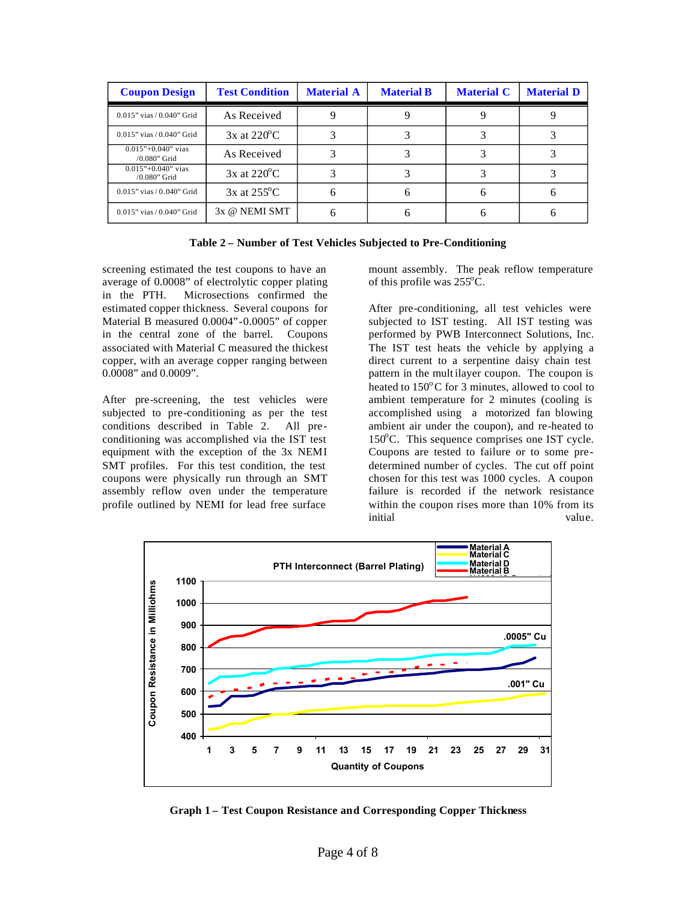| <b>Coupon Design</b>                     | <b>Test Condition</b>   | <b>Material A</b> | <b>Material B</b> | <b>Material C</b> | <b>Material D</b> |
|------------------------------------------|-------------------------|-------------------|-------------------|-------------------|-------------------|
| $0.015$ " vias / $0.040$ " Grid          | As Received             |                   |                   |                   |                   |
| $0.015$ " vias / $0.040$ " Grid          | $3x$ at $220^{\circ}$ C |                   |                   |                   |                   |
| $0.015$ "+0.040" vias<br>$/0.080$ " Grid | As Received             |                   |                   |                   |                   |
| $0.015$ "+0.040" vias<br>$/0.080$ " Grid | $3x$ at $220^{\circ}$ C |                   |                   |                   |                   |
| $0.015$ " vias / $0.040$ " Grid          | $3x$ at $255^{\circ}$ C |                   | 6                 |                   |                   |
| $0.015"$ vias $/ 0.040"$ Grid            | 3x @ NEMI SMT           |                   |                   |                   |                   |

| Table 2 – Number of Test Vehicles Subjected to Pre-Conditioning |
|-----------------------------------------------------------------|
|-----------------------------------------------------------------|

screening estimated the test coupons to have an average of 0.0008" of electrolytic copper plating in the PTH. Microsections confirmed the estimated copper thickness. Several coupons for Material B measured 0.0004"-0.0005" of copper in the central zone of the barrel. Coupons associated with Material C measured the thickest copper, with an average copper ranging between 0.0008" and 0.0009".

After pre-screening, the test vehicles were subjected to pre -conditioning as per the test conditions described in Table 2. All pre conditioning was accomplished via the IST test equipment with the exception of the 3x NEMI SMT profiles. For this test condition, the test coupons were physically run through an SMT assembly reflow oven under the temperature profile outlined by NEMI for lead free surface

mount assembly. The peak reflow temperature of this profile was  $255^{\circ}$ C.

After pre-conditioning, all test vehicles were subjected to IST testing. All IST testing was performed by PWB Interconnect Solutions, Inc. The IST test heats the vehicle by applying a direct current to a serpentine daisy chain test pattern in the mult ilayer coupon. The coupon is heated to  $150^{\circ}$ C for 3 minutes, allowed to cool to ambient temperature for 2 minutes (cooling is accomplished using a motorized fan blowing ambient air under the coupon), and re-heated to 150°C. This sequence comprises one IST cycle. Coupons are tested to failure or to some pre determined number of cycles. The cut off point chosen for this test was 1000 cycles. A coupon failure is recorded if the network resistance within the coupon rises more than 10% from its initial value.



**Graph 1 – Test Coupon Resistance and Corresponding Copper Thickness**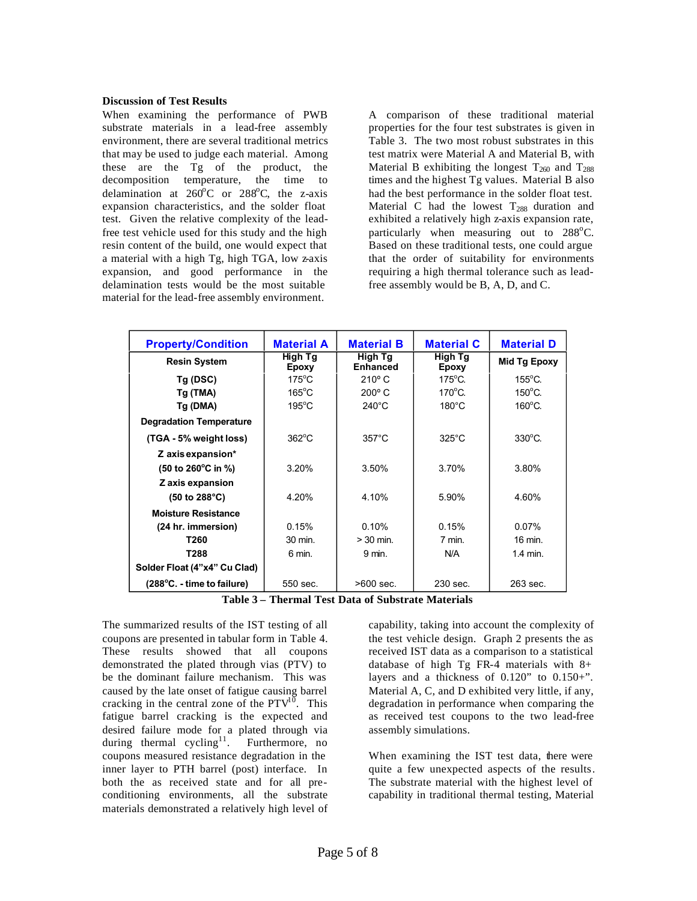## **Discussion of Test Results**

When examining the performance of PWB substrate materials in a lead-free assembly environment, there are several traditional metrics that may be used to judge each material. Among these are the Tg of the product, the decomposition temperature, the time to delamination at  $260^{\circ}$ C or  $288^{\circ}$ C, the z-axis expansion characteristics, and the solder float test. Given the relative complexity of the leadfree test vehicle used for this study and the high resin content of the build, one would expect that a material with a high Tg, high TGA, low z-axis expansion, and good performance in the delamination tests would be the most suitable material for the lead-free assembly environment.

A comparison of these traditional material properties for the four test substrates is given in Table 3. The two most robust substrates in this test matrix were Material A and Material B, with Material B exhibiting the longest  $T_{260}$  and  $T_{288}$ times and the highest Tg values. Material B also had the best performance in the solder float test. Material C had the lowest  $T_{288}$  duration and exhibited a relatively high z-axis expansion rate, particularly when measuring out to 288°C. Based on these traditional tests, one could argue that the order of suitability for environments requiring a high thermal tolerance such as leadfree assembly would be B, A, D, and C.

| <b>Property/Condition</b>                      | <b>Material A</b> | <b>Material B</b>          | <b>Material C</b> | <b>Material D</b> |
|------------------------------------------------|-------------------|----------------------------|-------------------|-------------------|
| <b>Resin System</b>                            | High Tg<br>Epoxy  | High Tg<br><b>Enhanced</b> | High Tg<br>Epoxy  | Mid Tg Epoxy      |
| Tg(DSC)                                        | $175^{\circ}$ C   | $210^{\circ}$ C            | $175^{\circ}$ C.  | $155^{\circ}$ C.  |
| Tg (TMA)                                       | $165^{\circ}$ C   | $200^\circ$ C              | $170^{\circ}$ C.  | $150^{\circ}$ C.  |
| Tg (DMA)                                       | $195^{\circ}$ C   | $240^{\circ}$ C            | $180^{\circ}$ C   | $160^{\circ}$ C.  |
| <b>Degradation Temperature</b>                 |                   |                            |                   |                   |
| (TGA - 5% weight loss)                         | $362^{\circ}$ C   | $357^{\circ}$ C            | $325^{\circ}$ C   | $330^{\circ}$ C.  |
| Z axis expansion*                              |                   |                            |                   |                   |
| $(50 \text{ to } 260^{\circ} \text{C in } \%)$ | 3.20%             | 3.50%                      | 3.70%             | 3.80%             |
| Z axis expansion                               |                   |                            |                   |                   |
| $(50 \text{ to } 288^{\circ}\text{C})$         | 4.20%             | 4.10%                      | 5.90%             | 4.60%             |
| <b>Moisture Resistance</b>                     |                   |                            |                   |                   |
| (24 hr. immersion)                             | 0.15%             | 0.10%                      | 0.15%             | $0.07\%$          |
| T260                                           | 30 min.           | $>30$ min.                 | 7 min.            | 16 min.           |
| T288                                           | 6 min.            | 9 min.                     | N/A               | $1.4$ min.        |
| Solder Float (4"x4" Cu Clad)                   |                   |                            |                   |                   |
| $(288^{\circ}C. - time to failure)$            | 550 sec.          | $>600$ sec.                | 230 sec.          | 263 sec.          |

**Table 3 – Thermal Test Data of Substrate Materials** 

The summarized results of the IST testing of all coupons are presented in tabular form in Table 4. These results showed that all coupons demonstrated the plated through vias (PTV) to be the dominant failure mechanism. This was caused by the late onset of fatigue causing barrel cracking in the central zone of the  $PTV^{10}$ . This fatigue barrel cracking is the expected and desired failure mode for a plated through via during thermal cycling<sup>11</sup>. Furthermore, no coupons measured resistance degradation in the inner layer to PTH barrel (post) interface. In both the as received state and for all preconditioning environments, all the substrate materials demonstrated a relatively high level of capability, taking into account the complexity of the test vehicle design. Graph 2 presents the as received IST data as a comparison to a statistical database of high Tg FR-4 materials with  $8+$ layers and a thickness of  $0.120$ " to  $0.150+$ ". Material A, C, and D exhibited very little, if any, degradation in performance when comparing the as received test coupons to the two lead-free assembly simulations.

When examining the IST test data, there were quite a few unexpected aspects of the results . The substrate material with the highest level of capability in traditional thermal testing, Material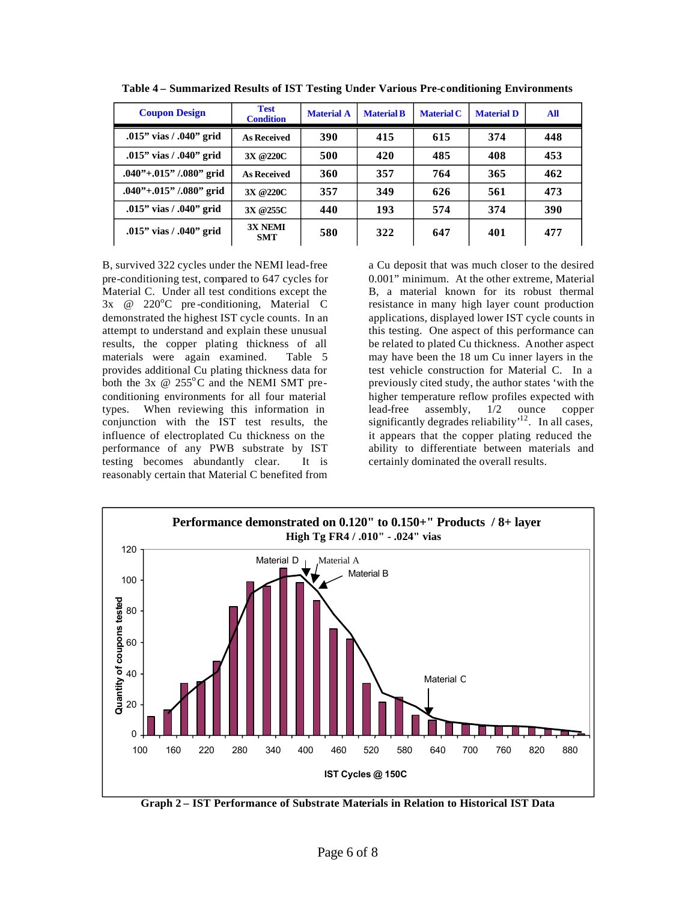| <b>Coupon Design</b>          | <b>Test</b><br><b>Condition</b> | <b>Material A</b> | <b>Material B</b> | <b>Material C</b> | <b>Material D</b> | All |
|-------------------------------|---------------------------------|-------------------|-------------------|-------------------|-------------------|-----|
| .015" vias / .040" grid       | <b>As Received</b>              | 390               | 415               | 615               | 374               | 448 |
| .015" vias / .040" grid       | 3X @220C                        | 500               | 420               | 485               | 408               | 453 |
| $.040$ ''+.015'' /.080'' grid | <b>As Received</b>              | 360               | 357               | 764               | 365               | 462 |
| $.040$ ''+.015'' /.080'' grid | 3X @220C                        | 357               | 349               | 626               | 561               | 473 |
| .015" vias $/$ .040" grid     | 3X @255C                        | 440               | 193               | 574               | 374               | 390 |
| .015" vias / .040" grid       | <b>3X NEMI</b><br><b>SMT</b>    | 580               | 322               | 647               | 401               | 477 |

**Table 4 – Summarized Results of IST Testing Under Various Pre-c onditioning Environments** 

B, survived 322 cycles under the NEMI lead-free pre-conditioning test, compared to 647 cycles for Material C. Under all test conditions except the  $3x \quad @ \quad 220^{\circ}C \quad \text{pre-conditioning, Material} \quad C$ demonstrated the highest IST cycle counts. In an attempt to understand and explain these unusual results, the copper plating thickness of all materials were again examined. Table 5 provides additional Cu plating thickness data for both the  $3x \otimes 255^{\circ}$ C and the NEMI SMT preconditioning environments for all four material types. When reviewing this information in conjunction with the IST test results, the influence of electroplated Cu thickness on the performance of any PWB substrate by IST testing becomes abundantly clear. It is reasonably certain that Material C benefited from

a Cu deposit that was much closer to the desired 0.001" minimum. At the other extreme, Material B, a material known for its robust thermal resistance in many high layer count production applications, displayed lower IST cycle counts in this testing. One aspect of this performance can be related to plated Cu thickness. Another aspect may have been the 18 um Cu inner layers in the test vehicle construction for Material C. In a previously cited study, the author states 'with the higher temperature reflow profiles expected with lead-free assembly, 1/2 ounce copper significantly degrades reliability<sup> $12$ </sup>. In all cases, it appears that the copper plating reduced the ability to differentiate between materials and certainly dominated the overall results.



**Graph 2 – IST Performance of Substrate Materials in Relation to Historical IST Data**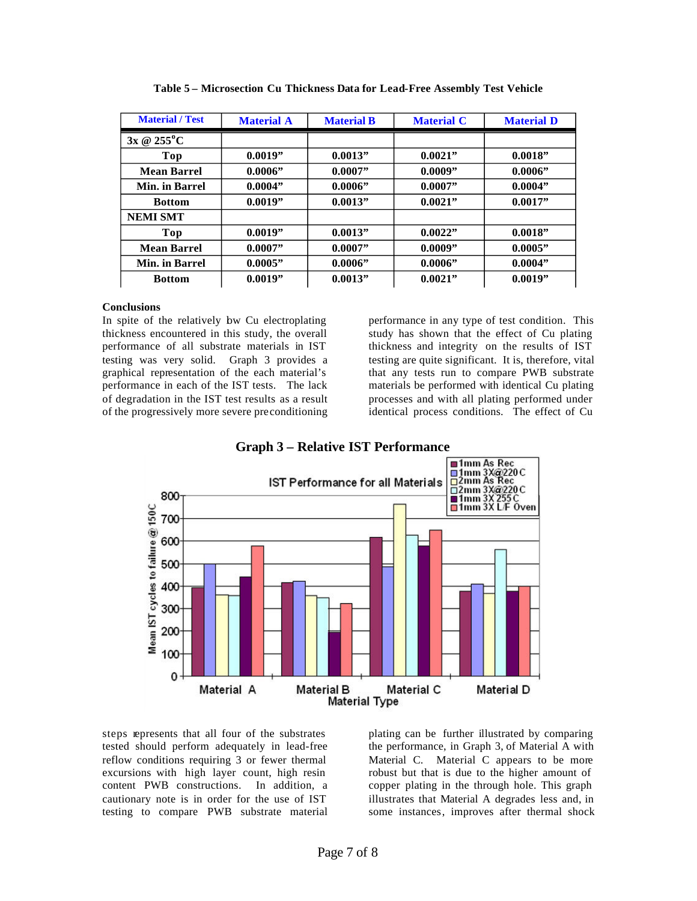| <b>Material</b> / Test | <b>Material A</b> | <b>Material B</b> | <b>Material C</b> | <b>Material D</b> |
|------------------------|-------------------|-------------------|-------------------|-------------------|
| 3x @ 255°C             |                   |                   |                   |                   |
| Top                    | 0.0019"           | 0.0013"           | 0.0021"           | 0.0018"           |
| <b>Mean Barrel</b>     | 0.0006            | 0.0007"           | 0.0009"           | $0.0006$ "        |
| Min. in Barrel         | 0.0004"           | 0.0006"           | 0.0007"           | 0.0004"           |
| <b>Bottom</b>          | 0.0019"           | 0.0013"           | 0.0021"           | 0.0017"           |
| <b>NEMI SMT</b>        |                   |                   |                   |                   |
| Top                    | 0.0019"           | 0.0013"           | 0.0022"           | 0.0018"           |
| <b>Mean Barrel</b>     | 0.0007"           | 0.0007"           | 0.0009"           | 0.0005"           |
| Min. in Barrel         | 0.0005"           | 0.0006"           | 0.0006"           | 0.0004"           |
| <b>Bottom</b>          | 0.0019"           | 0.0013"           | 0.0021"           | 0.0019"           |

**Table 5 – Microsection Cu Thickness Data for Lead-Free Assembly Test Vehicle** 

## **Conclusions**

In spite of the relatively bw Cu electroplating thickness encountered in this study, the overall performance of all substrate materials in IST testing was very solid. Graph 3 provides a graphical representation of the each material's performance in each of the IST tests. The lack of degradation in the IST test results as a result of the progressively more severe preconditioning performance in any type of test condition. This study has shown that the effect of Cu plating thickness and integrity on the results of IST testing are quite significant. It is, therefore, vital that any tests run to compare PWB substrate materials be performed with identical Cu plating processes and with all plating performed under identical process conditions. The effect of Cu





steps represents that all four of the substrates tested should perform adequately in lead-free reflow conditions requiring 3 or fewer thermal excursions with high layer count, high resin content PWB constructions. In addition, a cautionary note is in order for the use of IST testing to compare PWB substrate material plating can be further illustrated by comparing the performance, in Graph 3, of Material A with Material C. Material C appears to be more robust but that is due to the higher amount of copper plating in the through hole. This graph illustrates that Material A degrades less and, in some instances, improves after thermal shock